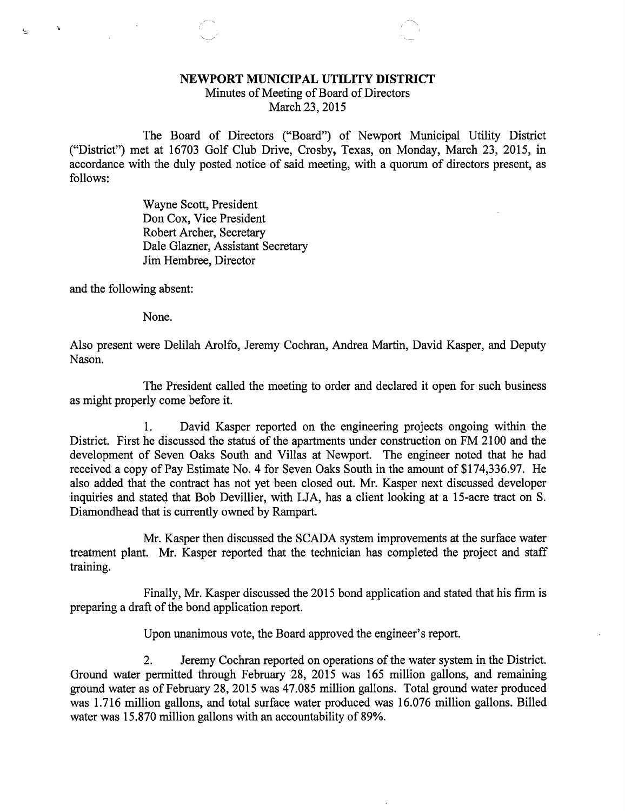## NEWPORT MUNICIPAL UTILITY DISTRICT

Minutes of Meeting of Board of Directors March 23, 2015

The Board of Directors ("Board") of Newport Municipal Utility District ("District") met at 16703 Golf Club Drive, Crosby, Texas, on Monday, March 23, 2015, in accordance with the duly posted notice of said meeting, with a quorum of directors present, as follows:

> Wayne Scott, President Don Cox, Vice President Robert Archer, Secretary Dale Glazner, Assistant Secretary Jim Hembree, Director

and the following absent:

1.

None.

Also present were Delilah Arolfo, Jeremy Cochran, Andrea Martin, David Kasper, and Deputy Nason.

The President called the meeting to order and declared it open for such business as might properly come before it.

1. David Kasper reported on the engineering projects ongoing within the District. First he discussed the status of the apartments under construction on FM 2100 and the development of Seven Oaks South and Villas at Newport. The engineer noted that he had received a copy of Pay Estimate No. 4 for Seven Oaks South in the amount of \$174,336.97. He also added that the contract has not yet been closed out. Mr. Kasper next discussed developer inquiries and stated that Bob Devillier, with LJA, has a client looking at a 15-acre tract on S. Diamondhead that is currently owned by Rampart.

Mr. Kasper then discussed the SCADA system improvements at the surface water treatment plant. Mr. Kasper reported that the technician has completed the project and staff training.

Finally, Mr. Kasper discussed the 2015 bond application and stated that his firm is preparing a draft of the bond application report.

Upon unanimous vote, the Board approved the engineer's report.

2. Jeremy Cochran reported on operations of the water system in the District. Ground water permitted through February 28, 2015 was 165 million gallons, and remaining ground water as of February 28, 2015 was 47.085 million gallons. Total ground water produced was 1.716 million gallons, and total surface water produced was 16.076 million gallons. Billed water was 15.870 million gallons with an accountability of 89%.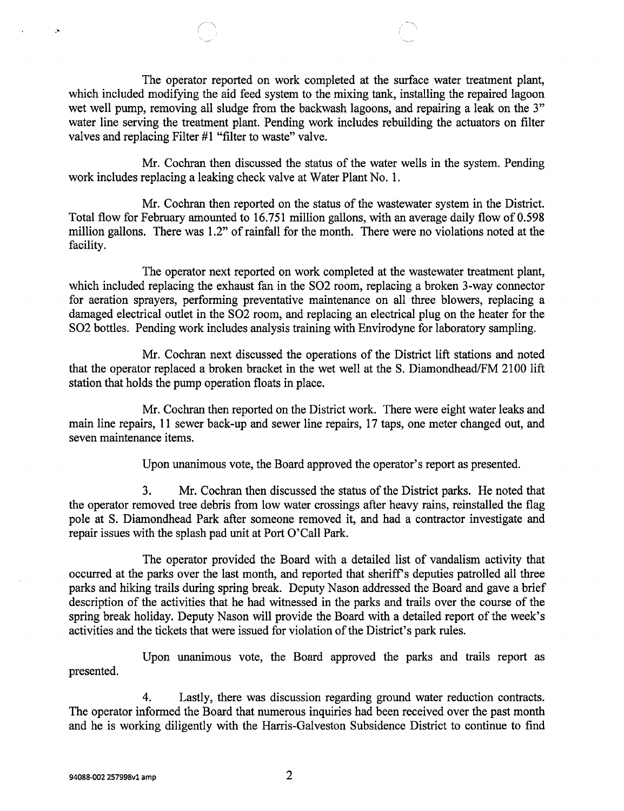The operator reported on work completed at the surface water treatment plant, which included modifying the aid feed system to the mixing tank, installing the repaired lagoon wet well pump, removing all sludge from the backwash lagoons, and repairing a leak on the 3" water line serving the treatment plant. Pending work includes rebuilding the actuators on filter valves and replacing Filter #1 "filter to waste" valve.

Mr. Cochran then discussed the status of the water wells in the system. Pending work includes replacing a leaking check valve at Water Plant No. 1.

Mr. Cochran then reported on the status of the wastewater system in the District. Total flow for February amounted to 16.751 million gallons, with an average daily flow of 0.598 million gallons. There was 1.2" of rainfall for the month. There were no violations noted at the facility.

The operator next reported on work completed at the wastewater treatment plant, which included replacing the exhaust fan in the SO2 room, replacing a broken 3-way connector for aeration sprayers, performing preventative maintenance on all three blowers, replacing a damaged electrical outlet in the SO2 room, and replacing an electrical plug on the heater for the SO2 bottles. Pending work includes analysis training with Envirodyne for laboratory sampling.

Mr. Cochran next discussed the operations of the District lift stations and noted that the operator replaced a broken bracket in the wet well at the S. Diamondhead/FM 2100 lift station that holds the pump operation floats in place.

Mr. Cochran then reported on the District work. There were eight water leaks and main line repairs, 11 sewer back-up and sewer line repairs, 17 taps, one meter changed out, and seven maintenance items.

Upon unanimous vote, the Board approved the operator's report as presented.

3. Mr. Cochran then discussed the status of the District parks. He noted that the operator removed tree debris from low water crossings after heavy rains, reinstalled the flag pole at S. Diamondhead Park after someone removed it, and had a contractor investigate and repair issues with the splash pad unit at Port O'Call Park.

The operator provided the Board with a detailed list of vandalism activity that occurred at the parks over the last month, and reported that sheriff's deputies patrolled all three parks and hiking trails during spring break. Deputy Nason addressed the Board and gave a brief description of the activities that he had witnessed in the parks and trails over the course of the spring break holiday. Deputy Nason will provide the Board with a detailed report of the week's activities and the tickets that were issued for violation of the District's park rules.

Upon unanimous vote, the Board approved the parks and trails report as presented.

4. Lastly, there was discussion regarding ground water reduction contracts. The operator informed the Board that numerous inquiries had been received over the past month and he is working diligently with the Harris-Galveston Subsidence District to continue to find

 $\Delta$